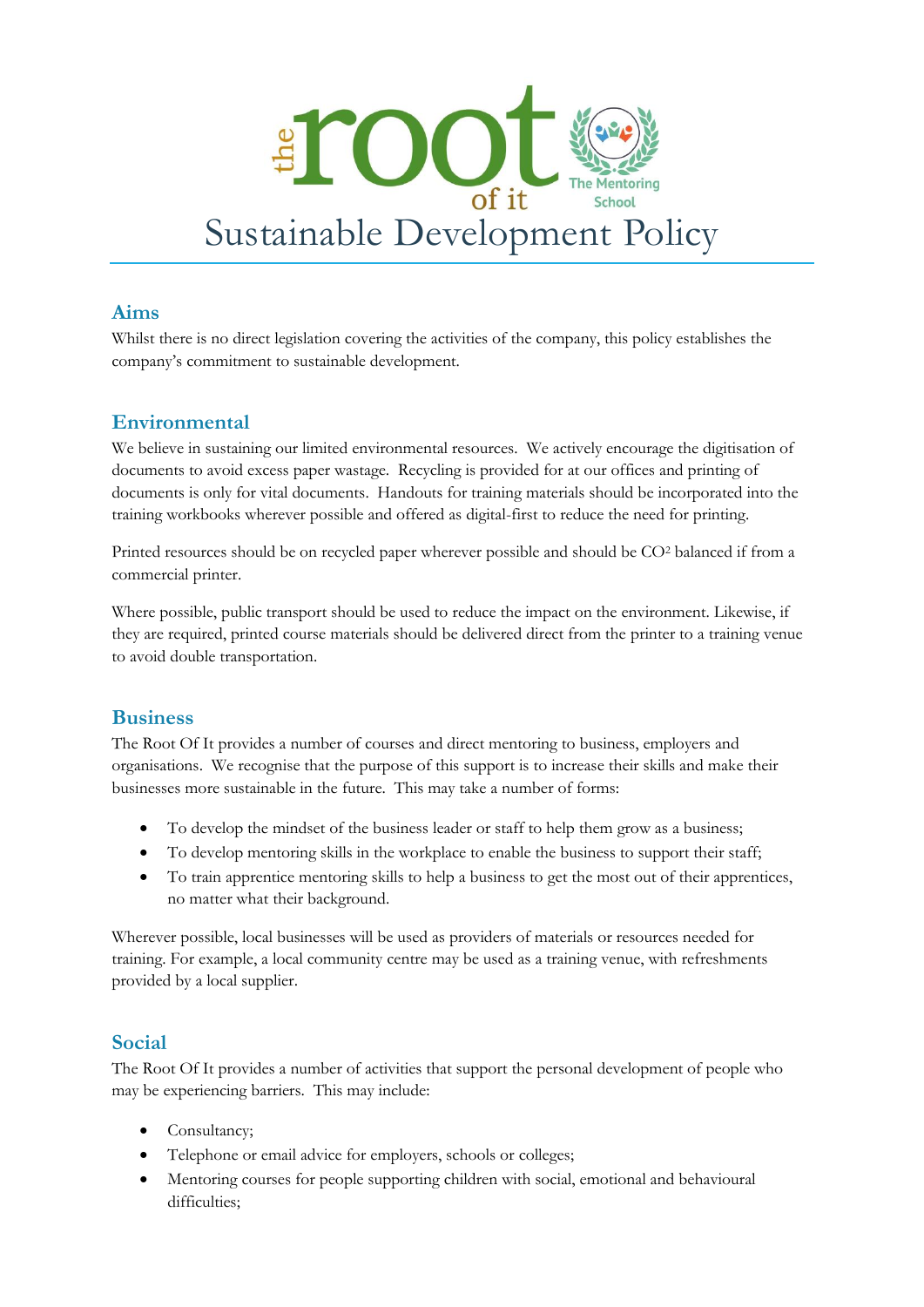

### **Aims**

Whilst there is no direct legislation covering the activities of the company, this policy establishes the company's commitment to sustainable development.

# **Environmental**

We believe in sustaining our limited environmental resources. We actively encourage the digitisation of documents to avoid excess paper wastage. Recycling is provided for at our offices and printing of documents is only for vital documents. Handouts for training materials should be incorporated into the training workbooks wherever possible and offered as digital-first to reduce the need for printing.

Printed resources should be on recycled paper wherever possible and should be CO<sup>2</sup> balanced if from a commercial printer.

Where possible, public transport should be used to reduce the impact on the environment. Likewise, if they are required, printed course materials should be delivered direct from the printer to a training venue to avoid double transportation.

#### **Business**

The Root Of It provides a number of courses and direct mentoring to business, employers and organisations. We recognise that the purpose of this support is to increase their skills and make their businesses more sustainable in the future. This may take a number of forms:

- To develop the mindset of the business leader or staff to help them grow as a business;
- To develop mentoring skills in the workplace to enable the business to support their staff;
- To train apprentice mentoring skills to help a business to get the most out of their apprentices, no matter what their background.

Wherever possible, local businesses will be used as providers of materials or resources needed for training. For example, a local community centre may be used as a training venue, with refreshments provided by a local supplier.

#### **Social**

The Root Of It provides a number of activities that support the personal development of people who may be experiencing barriers. This may include:

- Consultancy;
- Telephone or email advice for employers, schools or colleges;
- Mentoring courses for people supporting children with social, emotional and behavioural difficulties: